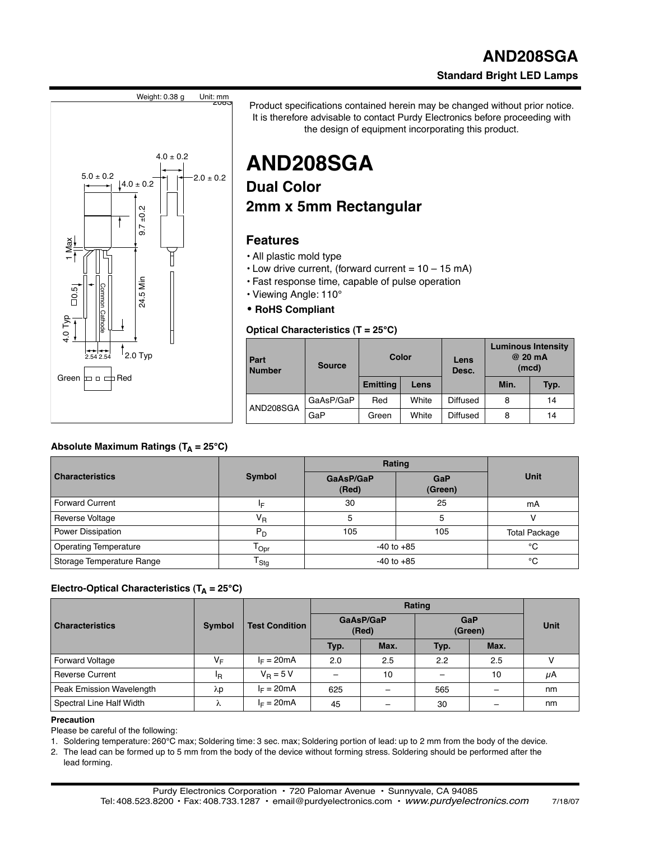### **AND208SGA Standard Bright LED Lamps**



Product specifications contained herein may be changed without prior notice. It is therefore advisable to contact Purdy Electronics before proceeding with the design of equipment incorporating this product.

## **AND208SGA**

## **Dual Color 2mm x 5mm Rectangular**

#### **Features**

- All plastic mold type
- $\cdot$  Low drive current, (forward current = 10 15 mA)
- Fast response time, capable of pulse operation
- Viewing Angle: 110°
- **RoHS Compliant**

#### **Optical Characteristics (T = 25°C)**

| Part<br><b>Number</b> | <b>Source</b> | Color           |       | Lens<br>Desc.   | <b>Luminous Intensity</b><br>@ 20 mA<br>(mcd) |      |
|-----------------------|---------------|-----------------|-------|-----------------|-----------------------------------------------|------|
|                       |               | <b>Emitting</b> | Lens  |                 | Min.                                          | Typ. |
| AND208SGA             | GaAsP/GaP     | Red             | White | Diffused        | 8                                             | 14   |
|                       | GaP           | Green           | White | <b>Diffused</b> | 8                                             | 14   |

| <b>Characteristics</b> | <b>Symbol</b> | GaAsP/GaP<br>(Red) | Rating<br><b>GaP</b><br>(Green)<br>25 | Unit |
|------------------------|---------------|--------------------|---------------------------------------|------|
| Forward Current        | I⊏            | 30                 |                                       | mA   |
| Reverse Voltage        | Vв            |                    |                                       |      |

#### Electro-Optical Characteristics  $(T_A = 25^{\circ}C)$

Absolute Maximum Ratings (T<sub>A</sub> = 25°C)

|                          | <b>Symbol</b>  | <b>Test Condition</b> | Rating             |      |                       |      |             |
|--------------------------|----------------|-----------------------|--------------------|------|-----------------------|------|-------------|
| <b>Characteristics</b>   |                |                       | GaAsP/GaP<br>(Red) |      | <b>GaP</b><br>(Green) |      | <b>Unit</b> |
|                          |                |                       | Typ.               | Max. | Typ.                  | Max. |             |
| <b>Forward Voltage</b>   | VF             | $I_F = 20mA$          | 2.0                | 2.5  | 2.2                   | 2.5  |             |
| <b>Reverse Current</b>   | <sup>I</sup> R | $V_B = 5 V$           | $\qquad \qquad$    | 10   | -                     | 10   | μA          |
| Peak Emission Wavelength | λp             | $I_F = 20mA$          | 625                |      | 565                   |      | nm          |
| Spectral Line Half Width | ⋏              | $I_F = 20mA$          | 45                 |      | 30                    |      | nm          |

Power Dissipation **PD** PD 105 105 Total Package Operating Temperature  $T_{\text{Opt}}$   $10^{2}$   $10^{2}$   $10^{2}$   $10^{2}$   $10^{2}$   $10^{2}$   $10^{2}$   $10^{2}$   $10^{2}$   $10^{2}$   $10^{2}$   $10^{2}$   $10^{2}$   $10^{2}$   $10^{2}$   $10^{2}$   $10^{2}$   $10^{2}$   $10^{2}$   $10^{2}$   $10^{2}$   $10^{2}$   $10^{2}$   $10^{2$ Storage Temperature Range  $T_{\text{Stg}}$   $T_{\text{Stg}}$   $\qquad$   $\qquad$  -40 to +85  $\qquad$   $\qquad$   $\text{°C}$ 

#### **Precaution**

Please be careful of the following:

1. Soldering temperature: 260°C max; Soldering time: 3 sec. max; Soldering portion of lead: up to 2 mm from the body of the device.

2. The lead can be formed up to 5 mm from the body of the device without forming stress. Soldering should be performed after the lead forming.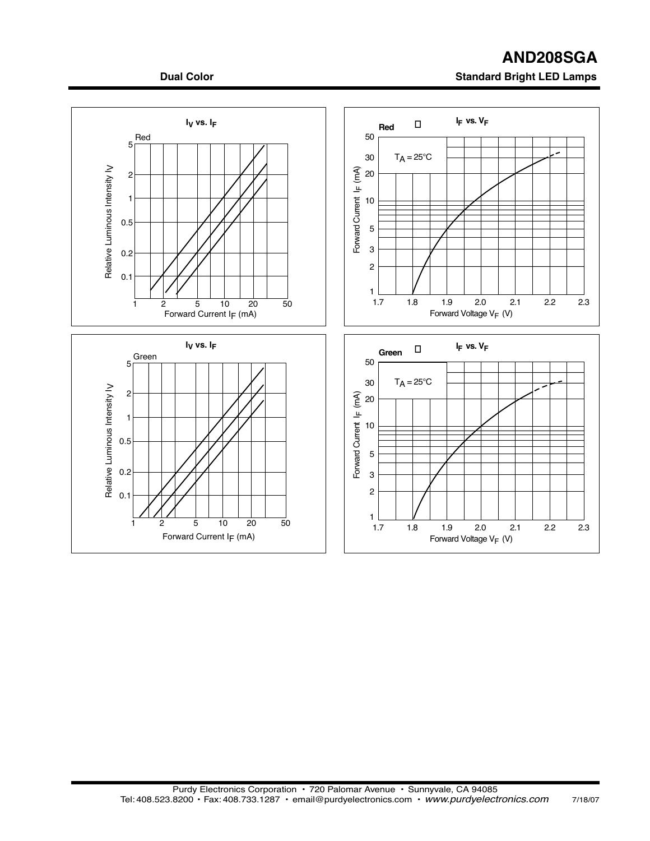# **AND208SGA**

#### **Dual Color Color Standard Bright LED Lamps**